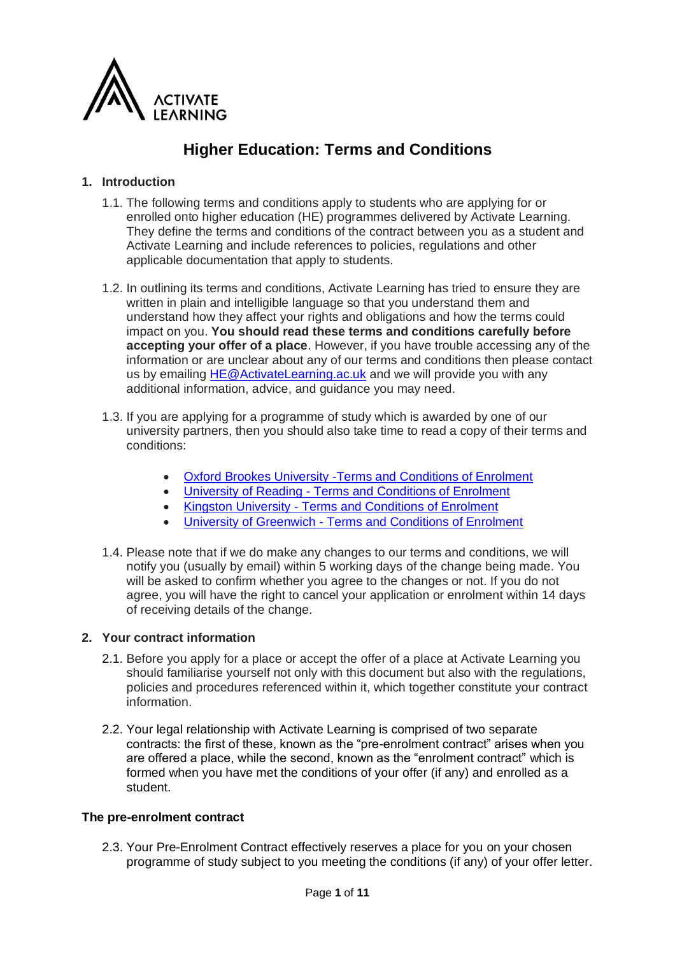

# **Higher Education: Terms and Conditions**

# **1. Introduction**

- 1.1. The following terms and conditions apply to students who are applying for or enrolled onto higher education (HE) programmes delivered by Activate Learning. They define the terms and conditions of the contract between you as a student and Activate Learning and include references to policies, regulations and other applicable documentation that apply to students.
- 1.2. In outlining its terms and conditions, Activate Learning has tried to ensure they are written in plain and intelligible language so that you understand them and understand how they affect your rights and obligations and how the terms could impact on you. **You should read these terms and conditions carefully before accepting your offer of a place**. However, if you have trouble accessing any of the information or are unclear about any of our terms and conditions then please contact us by emailing [HE@ActivateLearning.ac.uk](mailto:HE@ActivateLearning.ac.uk) and we will provide you with any additional information, advice, and guidance you may need.
- 1.3. If you are applying for a programme of study which is awarded by one of our university partners, then you should also take time to read a copy of their terms and conditions:
	- [Oxford Brookes University -Terms and Conditions of Enrolment](https://www.brookes.ac.uk/about-brookes/structure-and-governance/policies-and-financial-statements/terms-and-conditions-of-enrolment/)
	- University of Reading [Terms and Conditions of Enrolment](https://www.reading.ac.uk/ready-to-study/study/coming-to-reading)
	- Kingston University [Terms and Conditions of Enrolment](https://d68b3152cf5d08c2f050-97c828cc9502c69ac5af7576c62d48d6.ssl.cf3.rackcdn.com/documents/user-upload/kingston-university-ecc5570af78-gr1-2021-general-student-regula.pdf)
	- University of Greenwich [Terms and Conditions of Enrolment](https://docs.gre.ac.uk/rep/sas/principal-conditions-reg)
- 1.4. Please note that if we do make any changes to our terms and conditions, we will notify you (usually by email) within 5 working days of the change being made. You will be asked to confirm whether you agree to the changes or not. If you do not agree, you will have the right to cancel your application or enrolment within 14 days of receiving details of the change.

## **2. Your contract information**

- 2.1. Before you apply for a place or accept the offer of a place at Activate Learning you should familiarise yourself not only with this document but also with the regulations, policies and procedures referenced within it, which together constitute your contract information.
- 2.2. Your legal relationship with Activate Learning is comprised of two separate contracts: the first of these, known as the "pre-enrolment contract" arises when you are offered a place, while the second, known as the "enrolment contract" which is formed when you have met the conditions of your offer (if any) and enrolled as a student.

## **The pre-enrolment contract**

2.3. Your Pre-Enrolment Contract effectively reserves a place for you on your chosen programme of study subject to you meeting the conditions (if any) of your offer letter.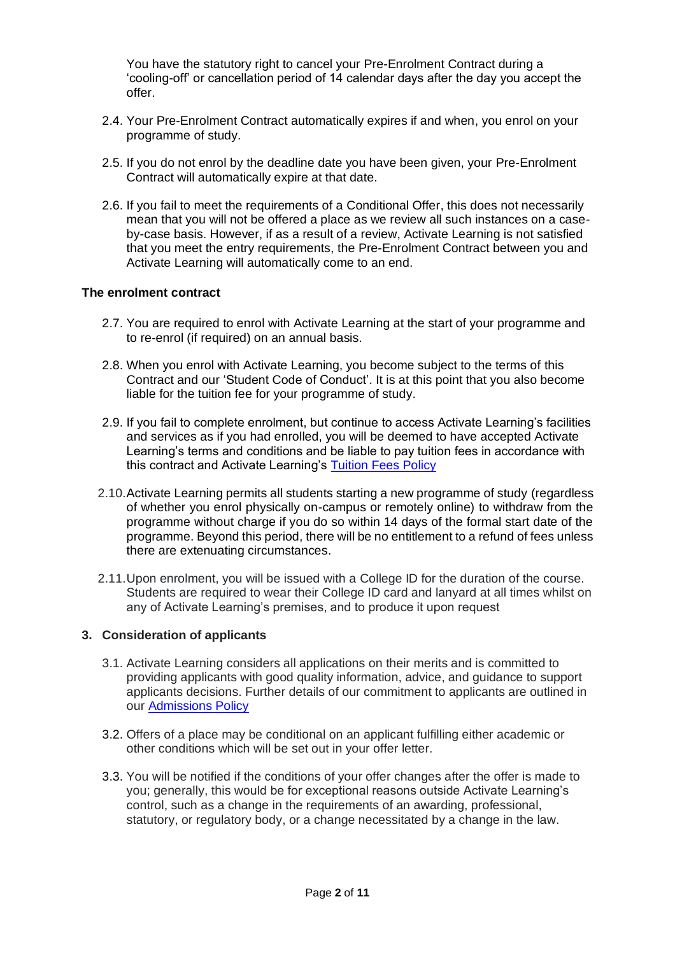You have the statutory right to cancel your Pre-Enrolment Contract during a 'cooling-off' or cancellation period of 14 calendar days after the day you accept the offer.

- 2.4. Your Pre-Enrolment Contract automatically expires if and when, you enrol on your programme of study.
- 2.5. If you do not enrol by the deadline date you have been given, your Pre-Enrolment Contract will automatically expire at that date.
- 2.6. If you fail to meet the requirements of a Conditional Offer, this does not necessarily mean that you will not be offered a place as we review all such instances on a caseby-case basis. However, if as a result of a review, Activate Learning is not satisfied that you meet the entry requirements, the Pre-Enrolment Contract between you and Activate Learning will automatically come to an end.

## **The enrolment contract**

- 2.7. You are required to enrol with Activate Learning at the start of your programme and to re-enrol (if required) on an annual basis.
- 2.8. When you enrol with Activate Learning, you become subject to the terms of this Contract and our 'Student Code of Conduct'. It is at this point that you also become liable for the tuition fee for your programme of study.
- 2.9. If you fail to complete enrolment, but continue to access Activate Learning's facilities and services as if you had enrolled, you will be deemed to have accepted Activate Learning's terms and conditions and be liable to pay tuition fees in accordance with this contract and Activate Learning's [Tuition Fees Policy](https://www.activatelearning.ac.uk/app/uploads/sites/2/2021/12/FIN001_V7_Student_Fees_Policy.pdf)
- 2.10.Activate Learning permits all students starting a new programme of study (regardless of whether you enrol physically on-campus or remotely online) to withdraw from the programme without charge if you do so within 14 days of the formal start date of the programme. Beyond this period, there will be no entitlement to a refund of fees unless there are extenuating circumstances.
- 2.11.Upon enrolment, you will be issued with a College ID for the duration of the course. Students are required to wear their College ID card and lanyard at all times whilst on any of Activate Learning's premises, and to produce it upon request

## **3. Consideration of applicants**

- 3.1. Activate Learning considers all applications on their merits and is committed to providing applicants with good quality information, advice, and guidance to support applicants decisions. Further details of our commitment to applicants are outlined in our [Admissions Policy](https://www.activatelearning.ac.uk/app/uploads/sites/2/2021/07/Admissions-Policy.pdf)
- 3.2. Offers of a place may be conditional on an applicant fulfilling either academic or other conditions which will be set out in your offer letter.
- 3.3. You will be notified if the conditions of your offer changes after the offer is made to you; generally, this would be for exceptional reasons outside Activate Learning's control, such as a change in the requirements of an awarding, professional, statutory, or regulatory body, or a change necessitated by a change in the law.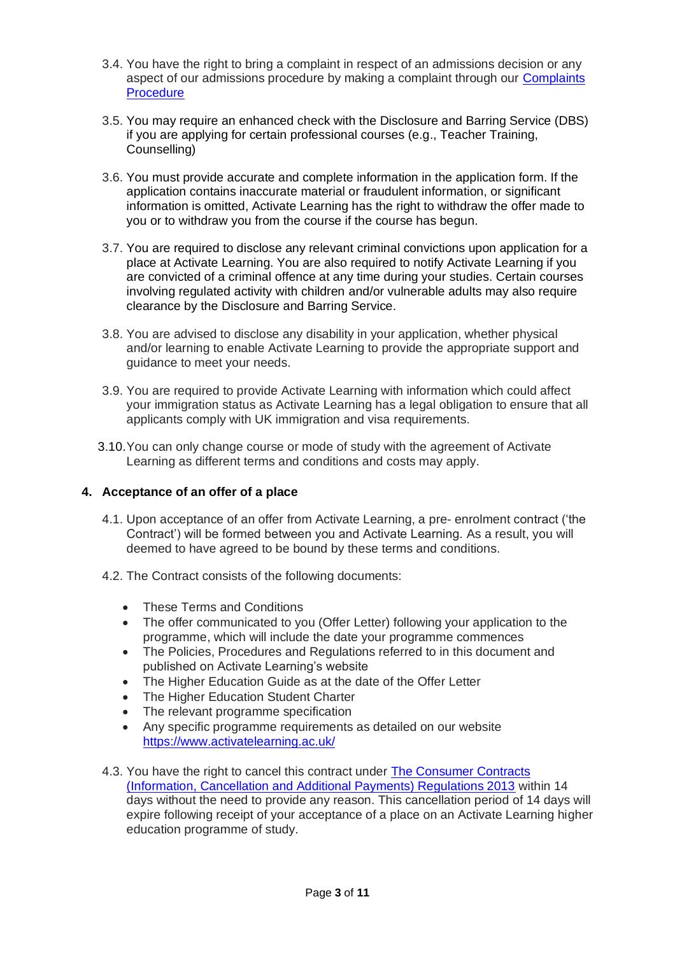- 3.4. You have the right to bring a complaint in respect of an admissions decision or any aspect of our admissions procedure by making a complaint through our [Complaints](https://www.activatelearning.ac.uk/app/uploads/sites/2/2021/10/Compliments-Comments-Complaints-Procedures.pdf)  **Procedure**
- 3.5. You may require an enhanced check with the Disclosure and Barring Service (DBS) if you are applying for certain professional courses (e.g., Teacher Training, Counselling)
- 3.6. You must provide accurate and complete information in the application form. If the application contains inaccurate material or fraudulent information, or significant information is omitted, Activate Learning has the right to withdraw the offer made to you or to withdraw you from the course if the course has begun.
- 3.7. You are required to disclose any relevant criminal convictions upon application for a place at Activate Learning. You are also required to notify Activate Learning if you are convicted of a criminal offence at any time during your studies. Certain courses involving regulated activity with children and/or vulnerable adults may also require clearance by the Disclosure and Barring Service.
- 3.8. You are advised to disclose any disability in your application, whether physical and/or learning to enable Activate Learning to provide the appropriate support and guidance to meet your needs.
- 3.9. You are required to provide Activate Learning with information which could affect your immigration status as Activate Learning has a legal obligation to ensure that all applicants comply with UK immigration and visa requirements.
- 3.10.You can only change course or mode of study with the agreement of Activate Learning as different terms and conditions and costs may apply.

## **4. Acceptance of an offer of a place**

- 4.1. Upon acceptance of an offer from Activate Learning, a pre- enrolment contract ('the Contract') will be formed between you and Activate Learning. As a result, you will deemed to have agreed to be bound by these terms and conditions.
- 4.2. The Contract consists of the following documents:
	- These Terms and Conditions
	- The offer communicated to you (Offer Letter) following your application to the programme, which will include the date your programme commences
	- The Policies, Procedures and Regulations referred to in this document and published on Activate Learning's website
	- The Higher Education Guide as at the date of the Offer Letter
	- The Higher Education Student Charter
	- The relevant programme specification
	- Any specific programme requirements as detailed on our website <https://www.activatelearning.ac.uk/>
- 4.3. You have the right to cancel this contract under [The Consumer Contracts](https://assets.publishing.service.gov.uk/government/uploads/system/uploads/attachment_data/file/226625/bis-13-1111-the-consumer-contracts-information-cancellation-and-additional-payments-regulations-2013.pdf)  (Information, [Cancellation and Additional Payments\) Regulations 2013](https://assets.publishing.service.gov.uk/government/uploads/system/uploads/attachment_data/file/226625/bis-13-1111-the-consumer-contracts-information-cancellation-and-additional-payments-regulations-2013.pdf) within 14 days without the need to provide any reason. This cancellation period of 14 days will expire following receipt of your acceptance of a place on an Activate Learning higher education programme of study.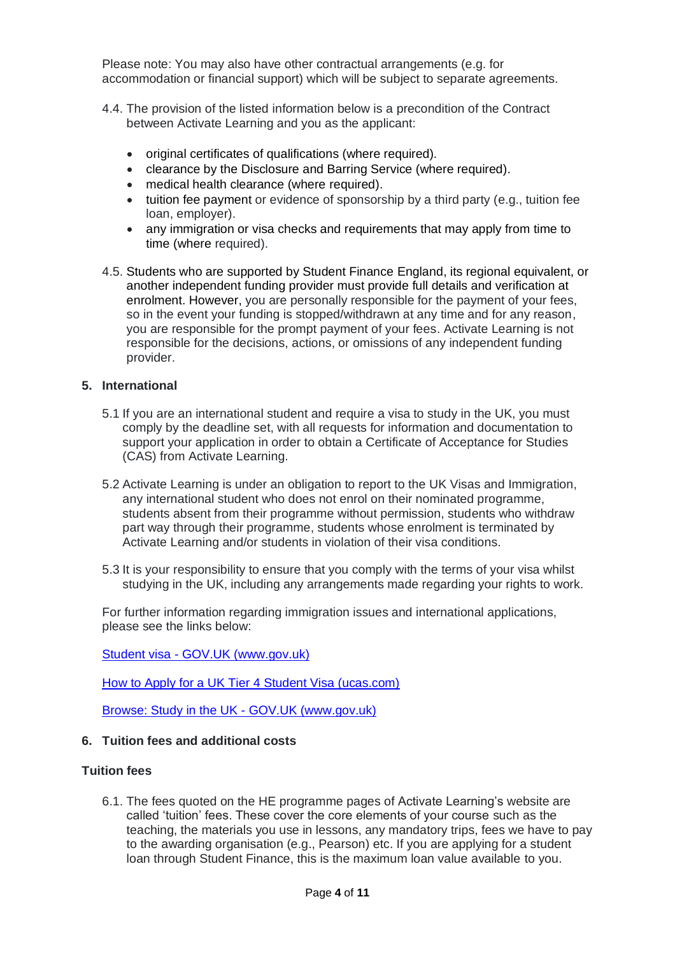Please note: You may also have other contractual arrangements (e.g. for accommodation or financial support) which will be subject to separate agreements.

- 4.4. The provision of the listed information below is a precondition of the Contract between Activate Learning and you as the applicant:
	- original certificates of qualifications (where required).
	- clearance by the Disclosure and Barring Service (where required).
	- medical health clearance (where required).
	- tuition fee payment or evidence of sponsorship by a third party (e.g., tuition fee loan, employer).
	- any immigration or visa checks and requirements that may apply from time to time (where required).
- 4.5. Students who are supported by Student Finance England, its regional equivalent, or another independent funding provider must provide full details and verification at enrolment. However, you are personally responsible for the payment of your fees, so in the event your funding is stopped/withdrawn at any time and for any reason, you are responsible for the prompt payment of your fees. Activate Learning is not responsible for the decisions, actions, or omissions of any independent funding provider.

#### **5. International**

- 5.1 If you are an international student and require a visa to study in the UK, you must comply by the deadline set, with all requests for information and documentation to support your application in order to obtain a Certificate of Acceptance for Studies (CAS) from Activate Learning.
- 5.2 Activate Learning is under an obligation to report to the UK Visas and Immigration, any international student who does not enrol on their nominated programme, students absent from their programme without permission, students who withdraw part way through their programme, students whose enrolment is terminated by Activate Learning and/or students in violation of their visa conditions.
- 5.3 It is your responsibility to ensure that you comply with the terms of your visa whilst studying in the UK, including any arrangements made regarding your rights to work.

For further information regarding immigration issues and international applications, please see the links below:

Student visa - [GOV.UK \(www.gov.uk\)](https://www.gov.uk/student-visa)

[How to Apply for a UK Tier 4 Student Visa \(ucas.com\)](https://www.ucas.com/undergraduate/after-you-apply/student-visas-immigration-and-english-language-tests)

[Browse: Study in the UK -](https://www.gov.uk/browse/visas-immigration/student-visas) GOV.UK (www.gov.uk)

### **6. Tuition fees and additional costs**

#### **Tuition fees**

6.1. The fees quoted on the HE programme pages of Activate Learning's website are called 'tuition' fees. These cover the core elements of your course such as the teaching, the materials you use in lessons, any mandatory trips, fees we have to pay to the awarding organisation (e.g., Pearson) etc. If you are applying for a student loan through Student Finance, this is the maximum loan value available to you.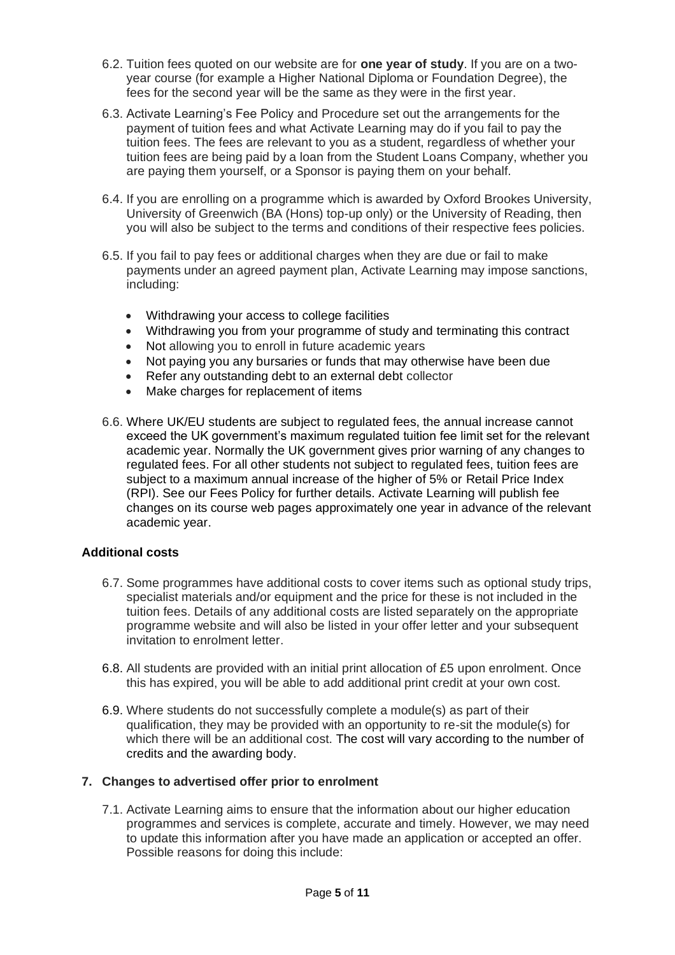- 6.2. Tuition fees quoted on our website are for **one year of study**. If you are on a twoyear course (for example a Higher National Diploma or Foundation Degree), the fees for the second year will be the same as they were in the first year.
- 6.3. Activate Learning's Fee Policy and Procedure set out the arrangements for the payment of tuition fees and what Activate Learning may do if you fail to pay the tuition fees. The fees are relevant to you as a student, regardless of whether your tuition fees are being paid by a loan from the Student Loans Company, whether you are paying them yourself, or a Sponsor is paying them on your behalf.
- 6.4. If you are enrolling on a programme which is awarded by Oxford Brookes University, University of Greenwich (BA (Hons) top-up only) or the University of Reading, then you will also be subject to the terms and conditions of their respective fees policies.
- 6.5. If you fail to pay fees or additional charges when they are due or fail to make payments under an agreed payment plan, Activate Learning may impose sanctions, including:
	- Withdrawing your access to college facilities
	- Withdrawing you from your programme of study and terminating this contract
	- Not allowing you to enroll in future academic years
	- Not paying you any bursaries or funds that may otherwise have been due
	- Refer any outstanding debt to an external debt collector
	- Make charges for replacement of items
- 6.6. Where UK/EU students are subject to regulated fees, the annual increase cannot exceed the UK government's maximum regulated tuition fee limit set for the relevant academic year. Normally the UK government gives prior warning of any changes to regulated fees. For all other students not subject to regulated fees, tuition fees are subject to a maximum annual increase of the higher of 5% or Retail Price Index (RPI). See our Fees Policy for further details. Activate Learning will publish fee changes on its course web pages approximately one year in advance of the relevant academic year.

## **Additional costs**

- 6.7. Some programmes have additional costs to cover items such as optional study trips, specialist materials and/or equipment and the price for these is not included in the tuition fees. Details of any additional costs are listed separately on the appropriate programme website and will also be listed in your offer letter and your subsequent invitation to enrolment letter.
- 6.8. All students are provided with an initial print allocation of £5 upon enrolment. Once this has expired, you will be able to add additional print credit at your own cost.
- 6.9. Where students do not successfully complete a module(s) as part of their qualification, they may be provided with an opportunity to re-sit the module(s) for which there will be an additional cost. The cost will vary according to the number of credits and the awarding body.

## **7. Changes to advertised offer prior to enrolment**

7.1. Activate Learning aims to ensure that the information about our higher education programmes and services is complete, accurate and timely. However, we may need to update this information after you have made an application or accepted an offer. Possible reasons for doing this include: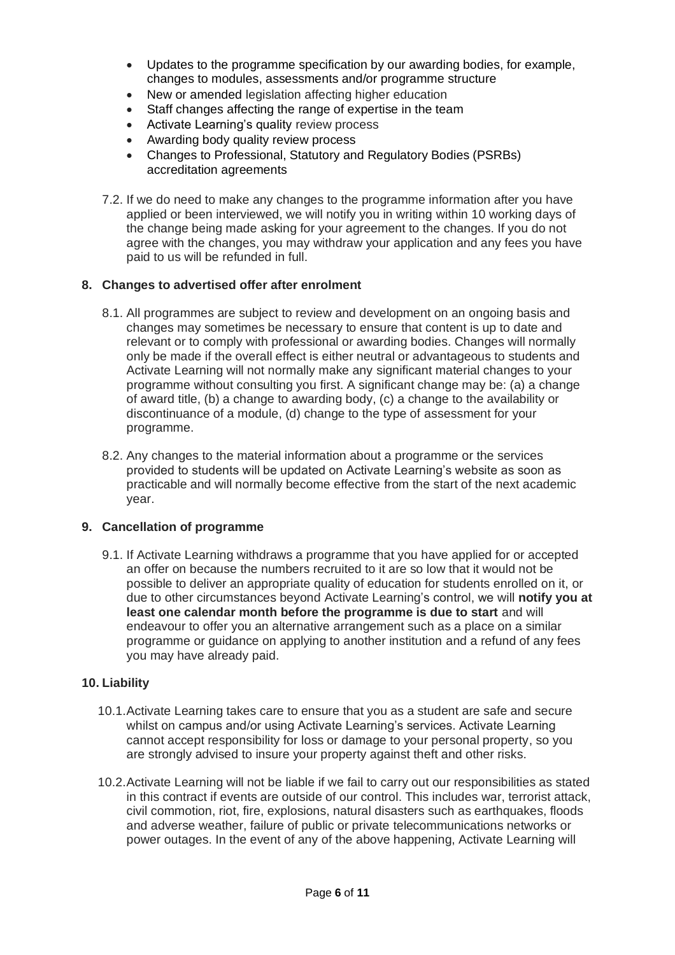- Updates to the programme specification by our awarding bodies, for example, changes to modules, assessments and/or programme structure
- New or amended legislation affecting higher education
- Staff changes affecting the range of expertise in the team
- Activate Learning's quality review process
- Awarding body quality review process
- Changes to Professional, Statutory and Regulatory Bodies (PSRBs) accreditation agreements
- 7.2. If we do need to make any changes to the programme information after you have applied or been interviewed, we will notify you in writing within 10 working days of the change being made asking for your agreement to the changes. If you do not agree with the changes, you may withdraw your application and any fees you have paid to us will be refunded in full.

## **8. Changes to advertised offer after enrolment**

- 8.1. All programmes are subject to review and development on an ongoing basis and changes may sometimes be necessary to ensure that content is up to date and relevant or to comply with professional or awarding bodies. Changes will normally only be made if the overall effect is either neutral or advantageous to students and Activate Learning will not normally make any significant material changes to your programme without consulting you first. A significant change may be: (a) a change of award title, (b) a change to awarding body, (c) a change to the availability or discontinuance of a module, (d) change to the type of assessment for your programme.
- 8.2. Any changes to the material information about a programme or the services provided to students will be updated on Activate Learning's website as soon as practicable and will normally become effective from the start of the next academic year.

#### **9. Cancellation of programme**

9.1. If Activate Learning withdraws a programme that you have applied for or accepted an offer on because the numbers recruited to it are so low that it would not be possible to deliver an appropriate quality of education for students enrolled on it, or due to other circumstances beyond Activate Learning's control, we will **notify you at least one calendar month before the programme is due to start** and will endeavour to offer you an alternative arrangement such as a place on a similar programme or guidance on applying to another institution and a refund of any fees you may have already paid.

## **10. Liability**

- 10.1.Activate Learning takes care to ensure that you as a student are safe and secure whilst on campus and/or using Activate Learning's services. Activate Learning cannot accept responsibility for loss or damage to your personal property, so you are strongly advised to insure your property against theft and other risks.
- 10.2.Activate Learning will not be liable if we fail to carry out our responsibilities as stated in this contract if events are outside of our control. This includes war, terrorist attack, civil commotion, riot, fire, explosions, natural disasters such as earthquakes, floods and adverse weather, failure of public or private telecommunications networks or power outages. In the event of any of the above happening, Activate Learning will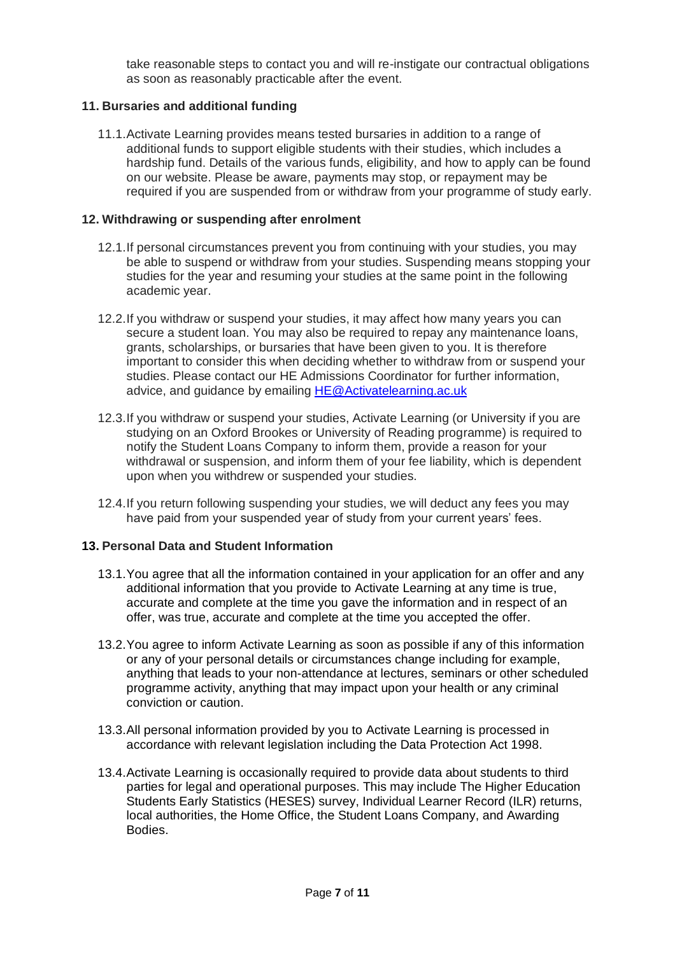take reasonable steps to contact you and will re-instigate our contractual obligations as soon as reasonably practicable after the event.

# **11. Bursaries and additional funding**

11.1.Activate Learning provides means tested bursaries in addition to a range of additional funds to support eligible students with their studies, which includes a hardship fund. Details of the various funds, eligibility, and how to apply can be found on our website. Please be aware, payments may stop, or repayment may be required if you are suspended from or withdraw from your programme of study early.

#### **12. Withdrawing or suspending after enrolment**

- 12.1.If personal circumstances prevent you from continuing with your studies, you may be able to suspend or withdraw from your studies. Suspending means stopping your studies for the year and resuming your studies at the same point in the following academic year.
- 12.2.If you withdraw or suspend your studies, it may affect how many years you can secure a student loan. You may also be required to repay any maintenance loans, grants, scholarships, or bursaries that have been given to you. It is therefore important to consider this when deciding whether to withdraw from or suspend your studies. Please contact our HE Admissions Coordinator for further information, advice, and guidance by emailing [HE@Activatelearning.ac.uk](mailto:HE@Activatelearning.ac.uk)
- 12.3.If you withdraw or suspend your studies, Activate Learning (or University if you are studying on an Oxford Brookes or University of Reading programme) is required to notify the Student Loans Company to inform them, provide a reason for your withdrawal or suspension, and inform them of your fee liability, which is dependent upon when you withdrew or suspended your studies.
- 12.4.If you return following suspending your studies, we will deduct any fees you may have paid from your suspended year of study from your current years' fees.

## **13. Personal Data and Student Information**

- 13.1.You agree that all the information contained in your application for an offer and any additional information that you provide to Activate Learning at any time is true, accurate and complete at the time you gave the information and in respect of an offer, was true, accurate and complete at the time you accepted the offer.
- 13.2.You agree to inform Activate Learning as soon as possible if any of this information or any of your personal details or circumstances change including for example, anything that leads to your non-attendance at lectures, seminars or other scheduled programme activity, anything that may impact upon your health or any criminal conviction or caution.
- 13.3.All personal information provided by you to Activate Learning is processed in accordance with relevant legislation including the Data Protection Act 1998.
- 13.4.Activate Learning is occasionally required to provide data about students to third parties for legal and operational purposes. This may include The Higher Education Students Early Statistics (HESES) survey, Individual Learner Record (ILR) returns, local authorities, the Home Office, the Student Loans Company, and Awarding **Bodies**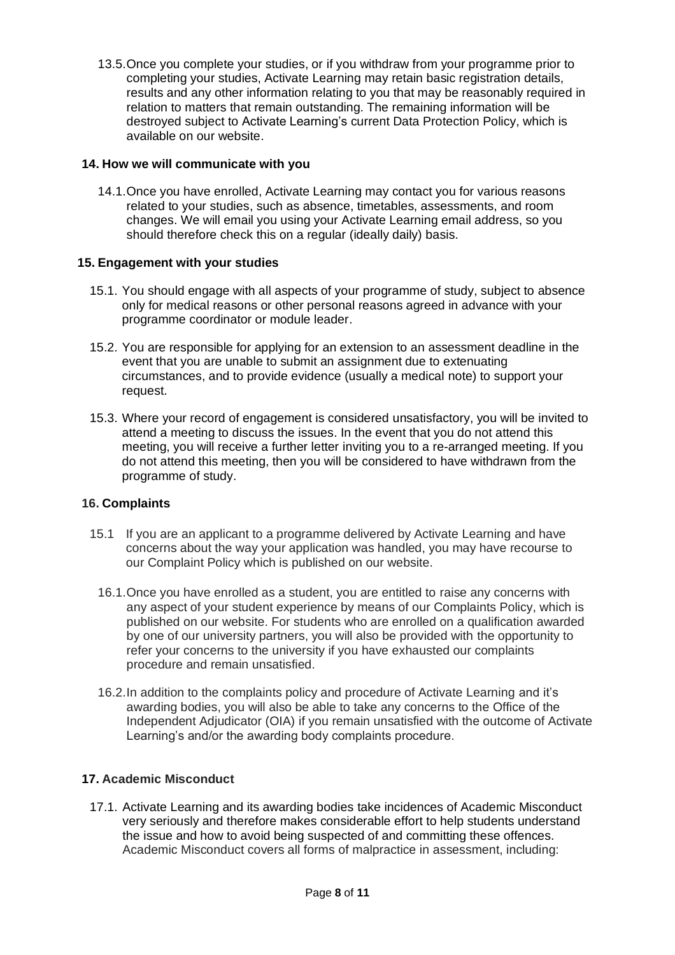13.5.Once you complete your studies, or if you withdraw from your programme prior to completing your studies, Activate Learning may retain basic registration details, results and any other information relating to you that may be reasonably required in relation to matters that remain outstanding. The remaining information will be destroyed subject to Activate Learning's current Data Protection Policy, which is available on our website.

# **14. How we will communicate with you**

14.1.Once you have enrolled, Activate Learning may contact you for various reasons related to your studies, such as absence, timetables, assessments, and room changes. We will email you using your Activate Learning email address, so you should therefore check this on a regular (ideally daily) basis.

# **15. Engagement with your studies**

- 15.1. You should engage with all aspects of your programme of study, subject to absence only for medical reasons or other personal reasons agreed in advance with your programme coordinator or module leader.
- 15.2. You are responsible for applying for an extension to an assessment deadline in the event that you are unable to submit an assignment due to extenuating circumstances, and to provide evidence (usually a medical note) to support your request.
- 15.3. Where your record of engagement is considered unsatisfactory, you will be invited to attend a meeting to discuss the issues. In the event that you do not attend this meeting, you will receive a further letter inviting you to a re-arranged meeting. If you do not attend this meeting, then you will be considered to have withdrawn from the programme of study.

## **16. Complaints**

- 15.1 If you are an applicant to a programme delivered by Activate Learning and have concerns about the way your application was handled, you may have recourse to our Complaint Policy which is published on our website.
	- 16.1.Once you have enrolled as a student, you are entitled to raise any concerns with any aspect of your student experience by means of our Complaints Policy, which is published on our website. For students who are enrolled on a qualification awarded by one of our university partners, you will also be provided with the opportunity to refer your concerns to the university if you have exhausted our complaints procedure and remain unsatisfied.
	- 16.2.In addition to the complaints policy and procedure of Activate Learning and it's awarding bodies, you will also be able to take any concerns to the Office of the Independent Adjudicator (OIA) if you remain unsatisfied with the outcome of Activate Learning's and/or the awarding body complaints procedure.

# **17. Academic Misconduct**

17.1. Activate Learning and its awarding bodies take incidences of Academic Misconduct very seriously and therefore makes considerable effort to help students understand the issue and how to avoid being suspected of and committing these offences. Academic Misconduct covers all forms of malpractice in assessment, including: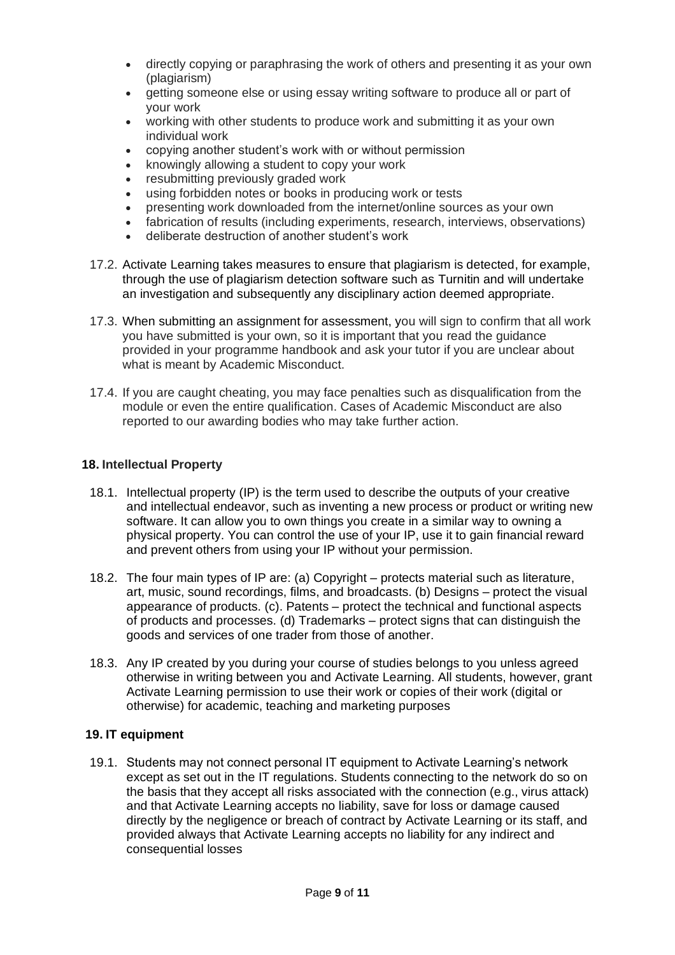- directly copying or paraphrasing the work of others and presenting it as your own (plagiarism)
- getting someone else or using essay writing software to produce all or part of your work
- working with other students to produce work and submitting it as your own individual work
- copying another student's work with or without permission
- knowingly allowing a student to copy your work
- resubmitting previously graded work
- using forbidden notes or books in producing work or tests
- presenting work downloaded from the internet/online sources as your own
- fabrication of results (including experiments, research, interviews, observations)
- deliberate destruction of another student's work
- 17.2. Activate Learning takes measures to ensure that plagiarism is detected, for example, through the use of plagiarism detection software such as Turnitin and will undertake an investigation and subsequently any disciplinary action deemed appropriate.
- 17.3. When submitting an assignment for assessment, you will sign to confirm that all work you have submitted is your own, so it is important that you read the guidance provided in your programme handbook and ask your tutor if you are unclear about what is meant by Academic Misconduct.
- 17.4. If you are caught cheating, you may face penalties such as disqualification from the module or even the entire qualification. Cases of Academic Misconduct are also reported to our awarding bodies who may take further action.

# **18. Intellectual Property**

- 18.1. Intellectual property (IP) is the term used to describe the outputs of your creative and intellectual endeavor, such as inventing a new process or product or writing new software. It can allow you to own things you create in a similar way to owning a physical property. You can control the use of your IP, use it to gain financial reward and prevent others from using your IP without your permission.
- 18.2. The four main types of IP are: (a) Copyright protects material such as literature, art, music, sound recordings, films, and broadcasts. (b) Designs – protect the visual appearance of products. (c). Patents – protect the technical and functional aspects of products and processes. (d) Trademarks – protect signs that can distinguish the goods and services of one trader from those of another.
- 18.3. Any IP created by you during your course of studies belongs to you unless agreed otherwise in writing between you and Activate Learning. All students, however, grant Activate Learning permission to use their work or copies of their work (digital or otherwise) for academic, teaching and marketing purposes

## **19. IT equipment**

19.1. Students may not connect personal IT equipment to Activate Learning's network except as set out in the IT regulations. Students connecting to the network do so on the basis that they accept all risks associated with the connection (e.g., virus attack) and that Activate Learning accepts no liability, save for loss or damage caused directly by the negligence or breach of contract by Activate Learning or its staff, and provided always that Activate Learning accepts no liability for any indirect and consequential losses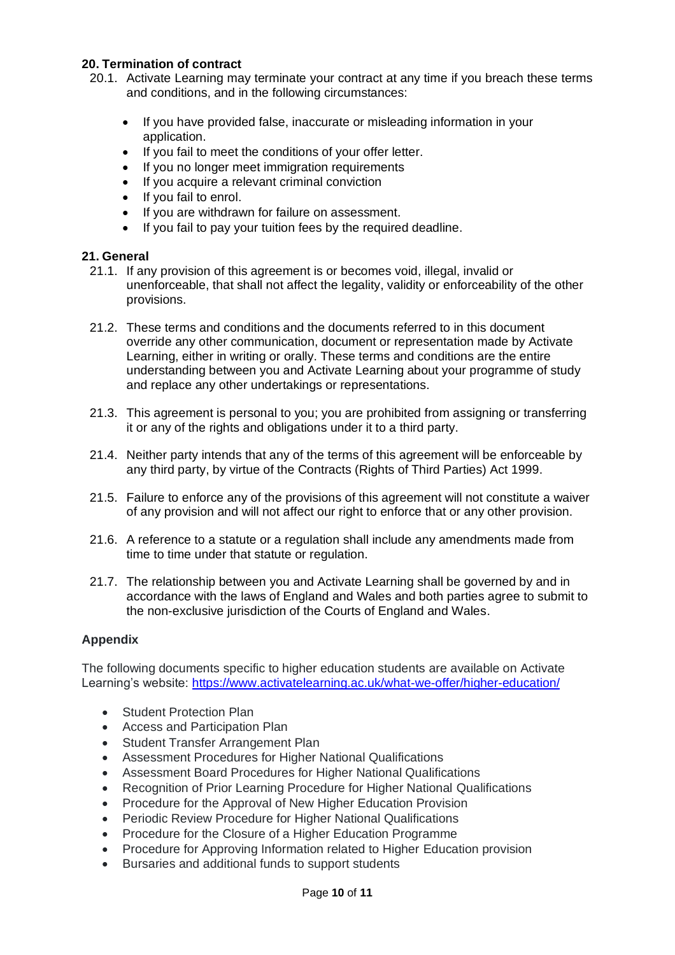## **20. Termination of contract**

- 20.1. Activate Learning may terminate your contract at any time if you breach these terms and conditions, and in the following circumstances:
	- If you have provided false, inaccurate or misleading information in your application.
	- If you fail to meet the conditions of your offer letter.
	- If you no longer meet immigration requirements
	- If you acquire a relevant criminal conviction
	- If you fail to enrol.
	- If you are withdrawn for failure on assessment.
	- If you fail to pay your tuition fees by the required deadline.

## **21. General**

- 21.1. If any provision of this agreement is or becomes void, illegal, invalid or unenforceable, that shall not affect the legality, validity or enforceability of the other provisions.
- 21.2. These terms and conditions and the documents referred to in this document override any other communication, document or representation made by Activate Learning, either in writing or orally. These terms and conditions are the entire understanding between you and Activate Learning about your programme of study and replace any other undertakings or representations.
- 21.3. This agreement is personal to you; you are prohibited from assigning or transferring it or any of the rights and obligations under it to a third party.
- 21.4. Neither party intends that any of the terms of this agreement will be enforceable by any third party, by virtue of the Contracts (Rights of Third Parties) Act 1999.
- 21.5. Failure to enforce any of the provisions of this agreement will not constitute a waiver of any provision and will not affect our right to enforce that or any other provision.
- 21.6. A reference to a statute or a regulation shall include any amendments made from time to time under that statute or regulation.
- 21.7. The relationship between you and Activate Learning shall be governed by and in accordance with the laws of England and Wales and both parties agree to submit to the non-exclusive jurisdiction of the Courts of England and Wales.

## **Appendix**

The following documents specific to higher education students are available on Activate Learning's website:<https://www.activatelearning.ac.uk/what-we-offer/higher-education/>

- Student Protection Plan
- Access and Participation Plan
- Student Transfer Arrangement Plan
- Assessment Procedures for Higher National Qualifications
- Assessment Board Procedures for Higher National Qualifications
- Recognition of Prior Learning Procedure for Higher National Qualifications
- Procedure for the Approval of New Higher Education Provision
- Periodic Review Procedure for Higher National Qualifications
- Procedure for the Closure of a Higher Education Programme
- Procedure for Approving Information related to Higher Education provision
- Bursaries and additional funds to support students